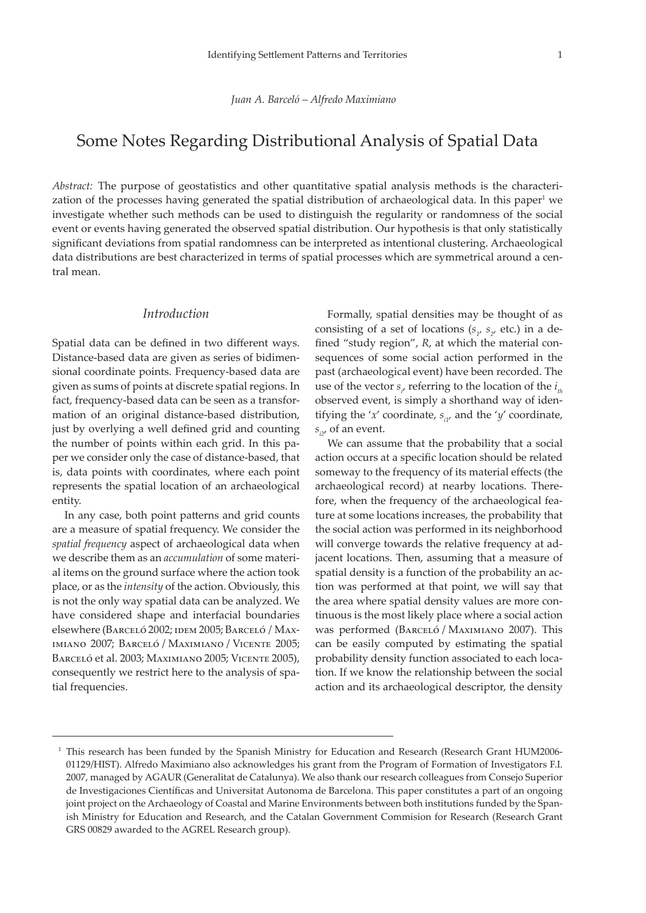*Juan A. Barceló – Alfredo Maximiano*

# Some Notes Regarding Distributional Analysis of Spatial Data

*Abstract:* The purpose of geostatistics and other quantitative spatial analysis methods is the characterization of the processes having generated the spatial distribution of archaeological data. In this paper<sup>1</sup> we investigate whether such methods can be used to distinguish the regularity or randomness of the social event or events having generated the observed spatial distribution. Our hypothesis is that only statistically significant deviations from spatial randomness can be interpreted as intentional clustering. Archaeological data distributions are best characterized in terms of spatial processes which are symmetrical around a central mean.

## *Introduction*

Spatial data can be defined in two different ways. Distance-based data are given as series of bidimensional coordinate points. Frequency-based data are given as sums of points at discrete spatial regions. In fact, frequency-based data can be seen as a transformation of an original distance-based distribution, just by overlying a well defined grid and counting the number of points within each grid. In this paper we consider only the case of distance-based, that is, data points with coordinates, where each point represents the spatial location of an archaeological entity.

In any case, both point patterns and grid counts are a measure of spatial frequency. We consider the *spatial frequency* aspect of archaeological data when we describe them as an *accumulation* of some material items on the ground surface where the action took place, or as the *intensity* of the action. Obviously, this is not the only way spatial data can be analyzed. We have considered shape and interfacial boundaries elsewhere (BARCELÓ 2002; IDEM 2005; BARCELÓ / MAXimiano 2007; Barceló / Maximiano / Vicente 2005; Barceló et al. 2003; Maximiano 2005; Vicente 2005), consequently we restrict here to the analysis of spatial frequencies.

Formally, spatial densities may be thought of as consisting of a set of locations ( $s$ <sub>1</sub>,  $s$ <sub>2</sub>, etc.) in a defined "study region", *R*, at which the material consequences of some social action performed in the past (archaeological event) have been recorded. The use of the vector  $s_{i'}$  referring to the location of the  $i_{th}$ observed event, is simply a shorthand way of identifying the '*x*' coordinate,  $s_{ij}$  and the '*y*' coordinate, *s<sub>i2</sub>*, of an event.

We can assume that the probability that a social action occurs at a specific location should be related someway to the frequency of its material effects (the archaeological record) at nearby locations. Therefore, when the frequency of the archaeological feature at some locations increases, the probability that the social action was performed in its neighborhood will converge towards the relative frequency at adjacent locations. Then, assuming that a measure of spatial density is a function of the probability an action was performed at that point, we will say that the area where spatial density values are more continuous is the most likely place where a social action was performed (Barceló / Maximiano 2007). This can be easily computed by estimating the spatial probability density function associated to each location. If we know the relationship between the social action and its archaeological descriptor, the density

<sup>&</sup>lt;sup>1</sup> This research has been funded by the Spanish Ministry for Education and Research (Research Grant HUM2006-01129/HIST). Alfredo Maximiano also acknowledges his grant from the Program of Formation of Investigators F.I. 2007, managed by AGAUR (Generalitat de Catalunya). We also thank our research colleagues from Consejo Superior de Investigaciones Científicas and Universitat Autonoma de Barcelona. This paper constitutes a part of an ongoing joint project on the Archaeology of Coastal and Marine Environments between both institutions funded by the Spanish Ministry for Education and Research, and the Catalan Government Commision for Research (Research Grant GRS 00829 awarded to the AGREL Research group).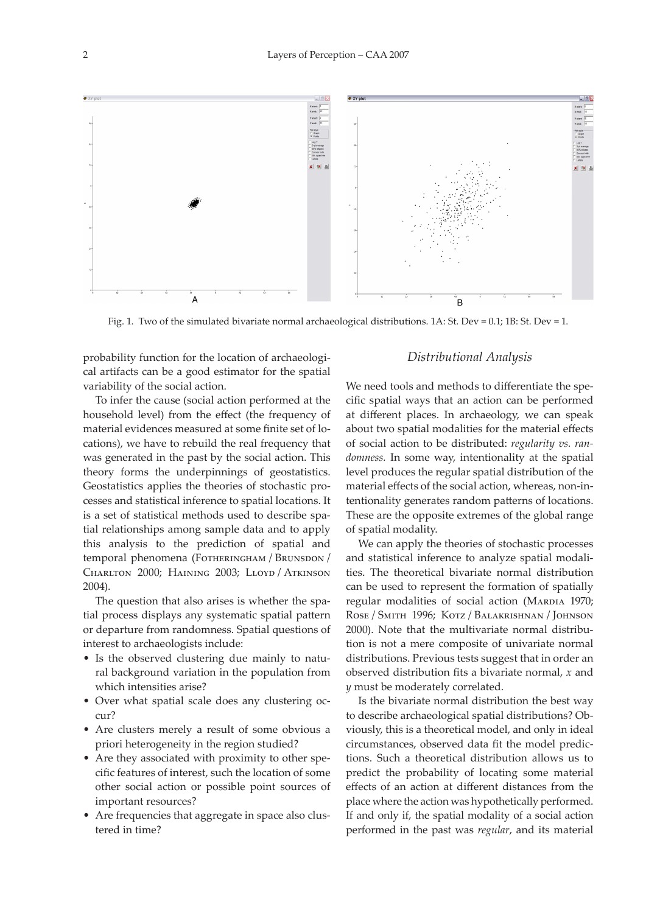

Fig. 1. Two of the simulated bivariate normal archaeological distributions. 1A: St. Dev = 0.1; 1B: St. Dev = 1.

probability function for the location of archaeological artifacts can be a good estimator for the spatial variability of the social action.

To infer the cause (social action performed at the household level) from the effect (the frequency of material evidences measured at some finite set of locations), we have to rebuild the real frequency that was generated in the past by the social action. This theory forms the underpinnings of geostatistics. Geostatistics applies the theories of stochastic processes and statistical inference to spatial locations. It is a set of statistical methods used to describe spatial relationships among sample data and to apply this analysis to the prediction of spatial and temporal phenomena (FOTHERINGHAM / BRUNSDON / Charlton 2000; Haining 2003; Lloyd / Atkinson 2004).

The question that also arises is whether the spatial process displays any systematic spatial pattern or departure from randomness. Spatial questions of interest to archaeologists include:

- Is the observed clustering due mainly to natural background variation in the population from which intensities arise?
- • Over what spatial scale does any clustering occur?
- Are clusters merely a result of some obvious a priori heterogeneity in the region studied?
- Are they associated with proximity to other specific features of interest, such the location of some other social action or possible point sources of important resources?
- Are frequencies that aggregate in space also clustered in time?

### *Distributional Analysis*

We need tools and methods to differentiate the specific spatial ways that an action can be performed at different places. In archaeology, we can speak about two spatial modalities for the material effects of social action to be distributed: *regularity vs. randomness.* In some way, intentionality at the spatial level produces the regular spatial distribution of the material effects of the social action, whereas, non-intentionality generates random patterns of locations. These are the opposite extremes of the global range of spatial modality.

We can apply the theories of stochastic processes and statistical inference to analyze spatial modalities. The theoretical bivariate normal distribution can be used to represent the formation of spatially regular modalities of social action (MARDIA 1970; Rose / Smith 1996; Kotz / Balakrishnan / Johnson 2000). Note that the multivariate normal distribution is not a mere composite of univariate normal distributions. Previous tests suggest that in order an observed distribution fits a bivariate normal, *x* and *y* must be moderately correlated.

Is the bivariate normal distribution the best way to describe archaeological spatial distributions? Obviously, this is a theoretical model, and only in ideal circumstances, observed data fit the model predictions. Such a theoretical distribution allows us to predict the probability of locating some material effects of an action at different distances from the place where the action was hypothetically performed. If and only if, the spatial modality of a social action performed in the past was *regular*, and its material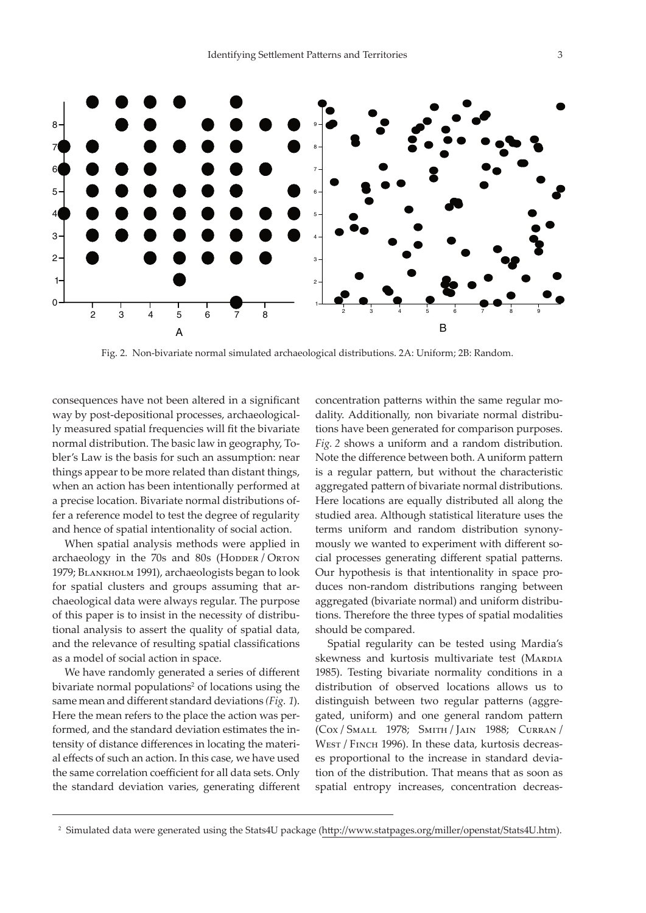

Fig. 2. Non-bivariate normal simulated archaeological distributions. 2A: Uniform; 2B: Random.

consequences have not been altered in a significant way by post-depositional processes, archaeologically measured spatial frequencies will fit the bivariate normal distribution. The basic law in geography, Tobler's Law is the basis for such an assumption: near things appear to be more related than distant things, when an action has been intentionally performed at a precise location. Bivariate normal distributions offer a reference model to test the degree of regularity and hence of spatial intentionality of social action.

When spatial analysis methods were applied in archaeology in the 70s and 80s (HODDER / ORTON 1979; Blankholm 1991), archaeologists began to look for spatial clusters and groups assuming that archaeological data were always regular. The purpose of this paper is to insist in the necessity of distributional analysis to assert the quality of spatial data, and the relevance of resulting spatial classifications as a model of social action in space.

We have randomly generated a series of different bivariate normal populations<sup>2</sup> of locations using the same mean and different standard deviations *(Fig. 1*). Here the mean refers to the place the action was performed, and the standard deviation estimates the intensity of distance differences in locating the material effects of such an action. In this case, we have used the same correlation coefficient for all data sets. Only the standard deviation varies, generating different

concentration patterns within the same regular modality. Additionally, non bivariate normal distributions have been generated for comparison purposes. *Fig. 2* shows a uniform and a random distribution. Note the difference between both. A uniform pattern is a regular pattern, but without the characteristic aggregated pattern of bivariate normal distributions. Here locations are equally distributed all along the studied area. Although statistical literature uses the terms uniform and random distribution synonymously we wanted to experiment with different social processes generating different spatial patterns. Our hypothesis is that intentionality in space produces non-random distributions ranging between aggregated (bivariate normal) and uniform distributions. Therefore the three types of spatial modalities should be compared.

Spatial regularity can be tested using Mardia's skewness and kurtosis multivariate test (MARDIA 1985). Testing bivariate normality conditions in a distribution of observed locations allows us to distinguish between two regular patterns (aggregated, uniform) and one general random pattern (Cox / Small 1978; Smith / Jain 1988; Curran / West / Finch 1996). In these data, kurtosis decreases proportional to the increase in standard deviation of the distribution. That means that as soon as spatial entropy increases, concentration decreas-

<sup>&</sup>lt;sup>2</sup> Simulated data were generated using the Stats4U package ([http://www.statpages.org/miller/openstat/Stats4U.htm\)](http://www.statpages.org/miller/openstat/Stats4U.htm).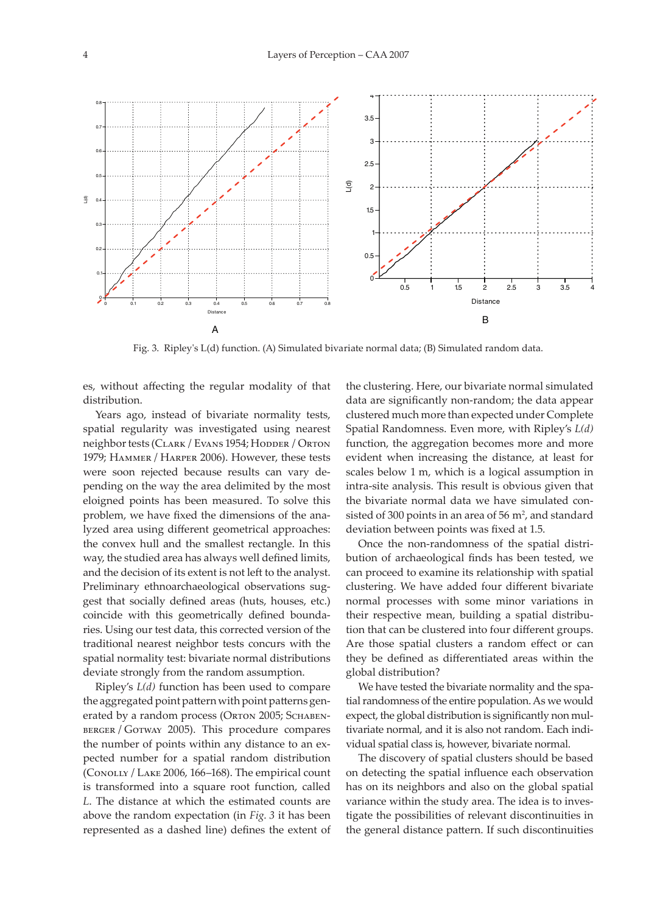

Fig. 3. Ripley's L(d) function. (A) Simulated bivariate normal data; (B) Simulated random data.

es, without affecting the regular modality of that distribution.

Years ago, instead of bivariate normality tests, spatial regularity was investigated using nearest neighbor tests (CLARK / Evans 1954; HODDER / ORTON 1979; Hammer / Harper 2006). However, these tests were soon rejected because results can vary depending on the way the area delimited by the most eloigned points has been measured. To solve this problem, we have fixed the dimensions of the analyzed area using different geometrical approaches: the convex hull and the smallest rectangle. In this way, the studied area has always well defined limits, and the decision of its extent is not left to the analyst. Preliminary ethnoarchaeological observations suggest that socially defined areas (huts, houses, etc.) coincide with this geometrically defined boundaries. Using our test data, this corrected version of the traditional nearest neighbor tests concurs with the spatial normality test: bivariate normal distributions deviate strongly from the random assumption.

Ripley's *L(d)* function has been used to compare the aggregated point pattern with point patterns generated by a random process (ORTON 2005; SCHABEN-BERGER / GOTWAY 2005). This procedure compares the number of points within any distance to an expected number for a spatial random distribution (Conolly / Lake 2006, 166–168). The empirical count is transformed into a square root function, called *L*. The distance at which the estimated counts are above the random expectation (in *Fig. 3* it has been represented as a dashed line) defines the extent of

the clustering. Here, our bivariate normal simulated data are significantly non-random; the data appear clustered much more than expected under Complete Spatial Randomness. Even more, with Ripley's *L(d)* function, the aggregation becomes more and more evident when increasing the distance, at least for scales below 1 m, which is a logical assumption in intra-site analysis. This result is obvious given that the bivariate normal data we have simulated consisted of 300 points in an area of 56 m<sup>2</sup>, and standard deviation between points was fixed at 1.5.

Once the non-randomness of the spatial distribution of archaeological finds has been tested, we can proceed to examine its relationship with spatial clustering. We have added four different bivariate normal processes with some minor variations in their respective mean, building a spatial distribution that can be clustered into four different groups. Are those spatial clusters a random effect or can they be defined as differentiated areas within the global distribution?

We have tested the bivariate normality and the spatial randomness of the entire population. As we would expect, the global distribution is significantly non multivariate normal, and it is also not random. Each individual spatial class is, however, bivariate normal.

The discovery of spatial clusters should be based on detecting the spatial influence each observation has on its neighbors and also on the global spatial variance within the study area. The idea is to investigate the possibilities of relevant discontinuities in the general distance pattern. If such discontinuities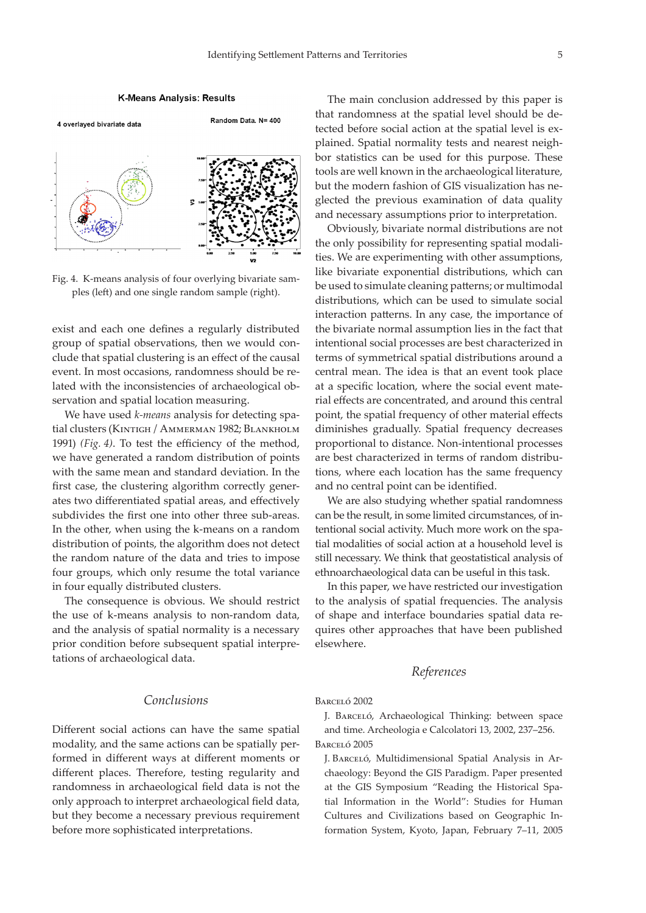#### **K-Means Analysis: Results**



Random Data, N= 400



Fig. 4. K-means analysis of four overlying bivariate samples (left) and one single random sample (right).

exist and each one defines a regularly distributed group of spatial observations, then we would conclude that spatial clustering is an effect of the causal event. In most occasions, randomness should be related with the inconsistencies of archaeological observation and spatial location measuring.

We have used *k-means* analysis for detecting spatial clusters (Кінтіgн / Аммерман 1982; Blankholm 1991) *(Fig. 4)*. To test the efficiency of the method, we have generated a random distribution of points with the same mean and standard deviation. In the first case, the clustering algorithm correctly generates two differentiated spatial areas, and effectively subdivides the first one into other three sub-areas. In the other, when using the k-means on a random distribution of points, the algorithm does not detect the random nature of the data and tries to impose four groups, which only resume the total variance in four equally distributed clusters.

The consequence is obvious. We should restrict the use of k-means analysis to non-random data, and the analysis of spatial normality is a necessary prior condition before subsequent spatial interpretations of archaeological data.

### *Conclusions*

Different social actions can have the same spatial modality, and the same actions can be spatially performed in different ways at different moments or different places. Therefore, testing regularity and randomness in archaeological field data is not the only approach to interpret archaeological field data, but they become a necessary previous requirement before more sophisticated interpretations.

The main conclusion addressed by this paper is that randomness at the spatial level should be detected before social action at the spatial level is explained. Spatial normality tests and nearest neighbor statistics can be used for this purpose. These tools are well known in the archaeological literature, but the modern fashion of GIS visualization has neglected the previous examination of data quality and necessary assumptions prior to interpretation.

Obviously, bivariate normal distributions are not the only possibility for representing spatial modalities. We are experimenting with other assumptions, like bivariate exponential distributions, which can be used to simulate cleaning patterns; or multimodal distributions, which can be used to simulate social interaction patterns. In any case, the importance of the bivariate normal assumption lies in the fact that intentional social processes are best characterized in terms of symmetrical spatial distributions around a central mean. The idea is that an event took place at a specific location, where the social event material effects are concentrated, and around this central point, the spatial frequency of other material effects diminishes gradually. Spatial frequency decreases proportional to distance. Non-intentional processes are best characterized in terms of random distributions, where each location has the same frequency and no central point can be identified.

We are also studying whether spatial randomness can be the result, in some limited circumstances, of intentional social activity. Much more work on the spatial modalities of social action at a household level is still necessary. We think that geostatistical analysis of ethnoarchaeological data can be useful in this task.

In this paper, we have restricted our investigation to the analysis of spatial frequencies. The analysis of shape and interface boundaries spatial data requires other approaches that have been published elsewhere.

### *References*

Barceló 2002

J. Barceló, Archaeological Thinking: between space and time. Archeologia e Calcolatori 13, 2002, 237–256. Barceló 2005

J. Barceló, Multidimensional Spatial Analysis in Archaeology: Beyond the GIS Paradigm. Paper presented at the GIS Symposium "Reading the Historical Spatial Information in the World": Studies for Human Cultures and Civilizations based on Geographic Information System, Kyoto, Japan, February 7–11, 2005